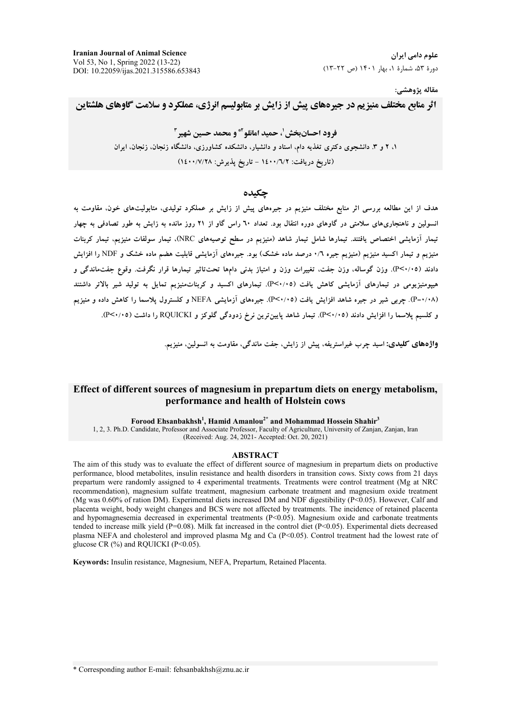### مقاله پژوهشي:

**اثر منابع مختلف منیزیم در جیرههای پیش از زایش بر متابولیسم انرژی، عملکرد و سلامت گاوهای هلشتاین** 

فرود احسانبخش <sup>י</sup>، حميد امانلو آ\* و محمد حسين شهير **آ ۱، ۲ و ۳.** دانشجوی دکتری تغذیه دام، استاد و دانشیار، دانشکده کشاورزی، دانشگاه زنجان، زنجان، ایران (تاريخ دريافت: ١٤٠٠/٦/٢ - تاريخ يذيرش: ١٤٠٠/٧/٢٨)

### **چکنده**

هدف از این مطالعه بررسی اثر منابع مختلف منیزیم در جیرههای پیش از زایش بر عملکرد تولیدی، متابولیتهای خون، مقاومت به انسولین و ناهنجاریهای سلامتی در گاوهای دوره انتقال بود. تعداد ٦٠ راس گاو از ٢١ روز مانده به زایش به طور تصادفی به چهار تیمار آزمایشی اختصاص یافتند. تیمارها شامل تیمار شاهد (منیزیم در سطح توصیههای NRC)، تیمار سولفات منیزیم، تیمار کربنات منیزیم و تیمار اکسید منیزیم (منیزیم جیره ۰/۲ درصد ماده خشک) بود. جیرههای آزمایشی قابلیت هضم ماده خشک و NDF را افزایش دادند (P<۰/۰۵). وزن گوساله، وزن جفت، تغییرات وزن و امتیاز بدنی دامها تحت $\vec{z}$ اتیر تیمارها قرار نگرفت. وقوع جفتماندگی و هییومنیزیومی در تیمارهای آزمایشی کاهش یافت (۲۰/۰۵). تیمارهای اکسید و کربناتمنیزیم تمایل به تولید شیر بالاتر داشتند (۰۸×-P). جربی شیر در جیره شاهد افزایش یافت (۰/۰۵). جیرههای آزمایشی NEFA و کلسترول یلاسما را کاهش داده و منیزیم و کلسیم پلاسما را افزایش دادند ( P<۰/۰۵). تیمار شاهد پایین ترین نرخ زدودگی گلوکز و RQUICKI را داشت (P<۰/۰۵).

و**اژدهای کلیدی: اسید چرب غیراستریفه، پیش از زایش، جفت ماندگی، مقاومت به انسولین، منیزیم.** 

# **Effect of different sources of magnesium in prepartum diets on energy metabolism, performance and health of Holstein cows**

**Forood Ehsanbakhsh<sup>1</sup> , Hamid Amanlou2\* and Mohammad Hossein Shahir<sup>3</sup>**

1, 2, 3. Ph.D. Candidate, Professor and Associate Professor, Faculty of Agriculture, University of Zanjan, Zanjan, Iran (Received: Aug. 24, 2021- Accepted: Oct. 20, 2021)

#### **ABSTRACT**

The aim of this study was to evaluate the effect of different source of magnesium in prepartum diets on productive performance, blood metabolites, insulin resistance and health disorders in transition cows. Sixty cows from 21 days prepartum were randomly assigned to 4 experimental treatments. Treatments were control treatment (Mg at NRC recommendation), magnesium sulfate treatment, magnesium carbonate treatment and magnesium oxide treatment (Mg was 0.60% of ration DM). Experimental diets increased DM and NDF digestibility (P<0.05). However, Calf and placenta weight, body weight changes and BCS were not affected by treatments. The incidence of retained placenta and hypomagnesemia decreased in experimental treatments (P<0.05). Magnesium oxide and carbonate treatments tended to increase milk yield ( $P=0.08$ ). Milk fat increased in the control diet ( $P<0.05$ ). Experimental diets decreased plasma NEFA and cholesterol and improved plasma Mg and Ca (P<0.05). Control treatment had the lowest rate of glucose CR (%) and RQUICKI (P<0.05).

**Keywords:** Insulin resistance, Magnesium, NEFA, Prepartum, Retained Placenta.

\* Corresponding author E-mail: fehsanbakhsh@znu.ac.ir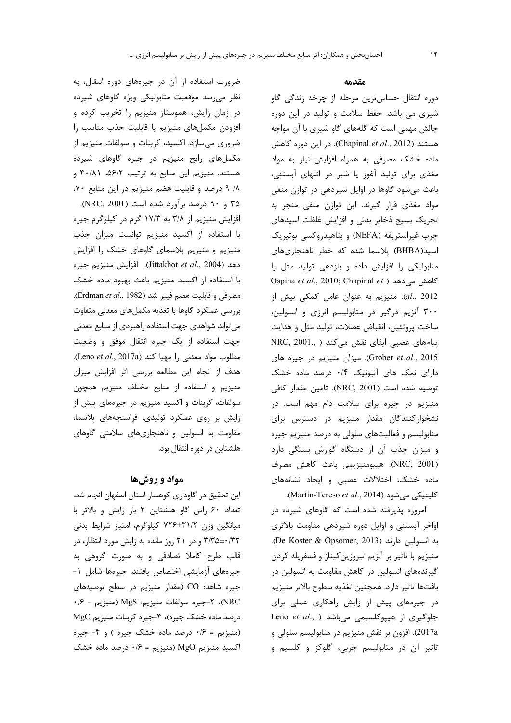ضرورت استفاده از آن در جیرههای دوره انتقال، به نظر میرسد موقعیت متابولیکی ویژه گاوهای شیرده در زمان زایش، هموستاز منیزیم را تخریب کرده و افزودن مكملهاى منيزيم با قابليت جذب مناسب را ضروری میسازد. اکسید، کربنات و سولفات منیزیم از مکملهای رایج منیزیم در جیره گاوهای شیرده هستند. منيزيم اين منابع به ترتيب ٥۶/٢، ٣٠/٨١ و ۸/ ۹ درصد و قابلیت هضم منیزیم در این منابع ۷۰، ۳۵ و ۹۰ درصد برآورد شده است (NRC, 2001). افزایش منیزیم از ۳/۸ به ۱۷/۳ گرم در کیلوگرم جیره با استفاده از اکسید منیزیم توانست میزان جذب

منیزیم و منیزیم پلاسمای گاوهای خشک را افزایش دهد (Jittakhot et al., 2004). افزايش منيزيم جيره با استفاده از اکسید منیزیم باعث بهبود ماده خشک مصرفي و قابليت هضم فيبر شد (Erdman et al., 1982). بررسی عملکرد گاوها با تغذیه مکملهای معدنی متفاوت می تواند شواهدی جهت استفاده راهبردی از منابع معدنی جهت استفاده از یک جیره انتقال موفق و وضعیت مطلوب مواد معدنی را مهیا کند (Leno et al., 2017a). هدف از انجام این مطالعه بررسی اثر افزایش میزان منیزیم و استفاده از منابع مختلف منیزیم همچون سولفات، کربنات و اکسید منیزیم در جیرههای پیش از زايش بر روى عملكرد توليدى، فراسنجههاى پلاسما، مقاومت به انسولین و ناهنجاریهای سلامتی گاوهای هلشتاین در دوره انتقال بود.

# مواد و روشها

این تحقیق در گاوداری کوهسار استان اصفهان انجام شد. تعداد ۶۰ راس گاو هلشتاین ۲ بار زایش و بالاتر با میانگین وزن ۳۱/۲±۷۲۶ کیلوگرم، امتیاز شرایط بدنی ۳/۳۵±۰/۳۲ و در ۲۱ روز مانده به زایش مورد انتظار، در قالب طرح کاملا تصادفی و به صورت گروهی به جیرههای آزمایشی اختصاص یافتند. جیرهها شامل ۱-جیره شاهد: CO (مقدار منیزیم در سطح توصیههای  $\cdot$  ،  $\gamma = \gamma$ جیره سولفات منیزیم: MgS (منیزیم = ۰/۶) درصد ماده خشک جیره)، ۳-جیره کربنات منیزیم MgC (منیزیم = ۰/۶ درصد ماده خشک جیره ) و ۴- جیره اکسید منیزیم MgO (منیزیم = ۰/۶ درصد ماده خشک

### مقدمه

دوره انتقال حساس ترین مرحله از چرخه زندگی گاو شیری می باشد. حفظ سلامت و تولید در این دوره چالش مهمی است که گلههای گاو شیری با آن مواجه هستند (Chapinal et al., 2012). در این دوره کاهش ماده خشک مصرفی به همراه افزایش نیاز به مواد مغذی برای تولید آغوز یا شیر در انتهای آبستنی، باعث می شود گاوها در اوایل شیردهی در توازن منفی مواد مغذی قرار گیرند. این توازن منفی منجر به تحریک بسیج ذخایر بدنی و افزایش غلظت اسیدهای چرب غیراستریفه (NEFA) و بتاهیدروکسی بوتیریک اسید(BHBA) پلاسما شده که خطر ناهنجاریهای متابولیکی را افزایش داده و بازدهی تولید مثل را Ospina et al., 2010; Chapinal et ) كاهش مى دهد al., 2012). منيزيم به عنوان عامل كمكي بيش از ۳۰۰ آنزیم درگیر در متابولیسم انرژی و انسولین، ساخت پروتئين، انقباض عضلات، توليد مثل و هدايت ييامهاى عصبى ايفاى نقش مى كند ( ,NRC, 2001 Grober et al., 2015). میزان منیزیم در جیره های دارای نمک های آنیونیک ۰/۴ درصد ماده خشک توصيه شده است (NRC, 2001). تامين مقدار كافي منیزیم در جیره برای سلامت دام مهم است. در نشخوارکنندگان مقدار منیزیم در دسترس برای متابولیسم و فعالیتهای سلولی به درصد منیزیم جیره و میزان جذب آن از دستگاه گوارش بستگی دارد (NRC, 2001). هيپومنيزيمي باعث كاهش مصرف ماده خشک، اختلالات عصبی و ایجاد نشانههای كلينيكي مي شود (Martin-Tereso et al., 2014).

امروزه پذیرفته شده است که گاوهای شیرده در اواخر أبستني و اوايل دوره شيردهي مقاومت بالاترى به انسولین دارند (De Koster & Opsomer, 2013). منیزیم با تاثیر بر آنزیم تیروزینکیناز و فسفریله کردن گیرندههای انسولین در کاهش مقاومت به انسولین در بافتها تاثير دارد. همچنين تغذيه سطوح بالاتر منيزيم در جیرههای پیش از زایش راهکاری عملی برای Leno et al., ) حلوگیری از هیپوکلسیمی میباشد 2017a). افزون بر نقش منيزيم در متابوليسم سلولي و تاثیر آن در متابولیسم چربی، گلوکز و کلسیم و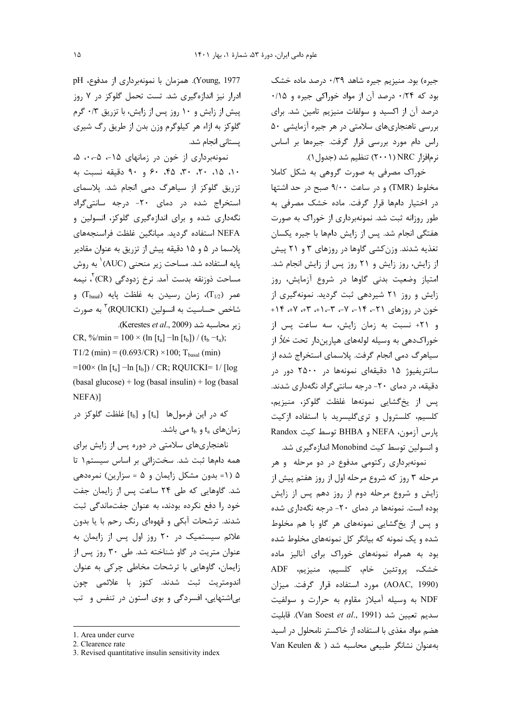جیره) بود. منیزیم جیره شاهد ۰/۳۹ درصد ماده خشک بود که ۰/۲۴ درصد آن از مواد خوراکی جیره و ۰/۱۵ درصد آن از اکسید و سولفات منیزیم تامین شد. برای بررسی ناهنجاریهای سلامتی در هر جیره آزمایشی ۵۰ راس دام مورد بررسی قرار گرفت. جیرهها بر اساس نرمافزار NRC (۲۰۰۱) تنظیم شد (جدول ۱).

خوراک مصرفی به صورت گروهی به شکل کاملا مخلوط (TMR) و در ساعت ۹/۰۰ صبح در حد اشتها در اختیار دامها قرار گرفت. ماده خشک مصرفی به طور روزانه ثبت شد. نمونهبرداری از خوراک به صورت هفتگی انجام شد. پس از زایش دامها با جیره یکسان تغذیه شدند. وزن کشی گاوها در روزهای ۳ و ۲۱ پیش از زایش، روز زایش و ٢١ روز پس از زایش انجام شد. امتیاز وضعیت بدنی گاوها در شروع آزمایش، روز زایش و روز ۲۱ شیردهی ثبت گردید. نمونهگیری از خون در روزهای ۲۱-، ۱۴-، ۷-، ۳-، ۱+، ۳+، ۷+، ۱۴+ و ٢١+ نسبت به زمان زايش، سه ساعت پس از خوراکدهی به وسیله لولههای هپاریندار تحت *خلأ* از سیاهرگ دمی انجام گرفت. پلاسمای استخراج شده از سانتریفیوژ ۱۵ دقیقهای نمونهها در ۲۵۰۰ دور در دقیقه، در دمای ۲۰- درجه سانتی گراد نگهداری شدند. یس از یخ گشایی نمونهها غلظت گلوکز، منیزیم، کلسیم، کلسترول و تریگلیسرید با استفاده ازکیت يارس آزمون، NEFA و BHBA توسط كيت Randox و انسولین توسط کیت Monobind اندازهگیری شد.

نمونهبرداری رکتومی مدفوع در دو مرحله و هر مرحله ۳ روز که شروع مرحله اول از روز هفتم پیش از زایش و شروع مرحله دوم از روز دهم پس از زایش بوده است. نمونهها در دمای ۲۰- درجه نگهداری شده و پس از یخ گشایی نمونههای هر گاو با هم مخلوط شده و یک نمونه که بیانگر کل نمونههای مخلوط شده بود به همراه نمونههای خوراک برای آنالیز ماده خشک، پروتئین خام، کلسیم، منیزیم، ADF (AOAC, 1990) مورد استفاده قرار گرفت. ميزان NDF به وسیله آمیلاز مقاوم به حرارت و سولفیت سديم تعيين شد (Van Soest et al., 1991). قابليت هضم مواد مغذی با استفاده از خاکستر نامحلول در اسید به عنوان نشانگر طبیعی محاسبه شد ( Van Keulen &

Young, 1977). همزمان با نمونهبرداری از مدفوع، pH ادرار نیز اندازهگیری شد. تست تحمل گلوکز در ۷ روز پیش از زایش و ۱۰ روز پس از زایش، با تزریق ۰/۳ گرم گلوکز به ازاء هر کیلوگرم وزن بدن از طریق رگ شیری یستانی انجام شد.

نمونهبرداری از خون در زمانهای ۱۵-، ۵-۰، ۵، ۰۱، ۲۵، ۲۰، ۴۵، ۴۵، ۶۰ و ۹۰ دقیقه نسبت به تزریق گلوکز از سیاهرگ دمی انجام شد. پلاسمای استخراج شده در دمای ۲۰- درجه سانتی گراد نگهداری شده و برای اندازهگیری گلوکز، انسولین و NEFA استفاده گردید. میانگین غلظت فراسنجههای پلاسما در ۵ و ۱۵ دقیقه پیش از تزریق به عنوان مقادیر پایه استفاده شد. مساحت زیر منحنی (AUC) ٰ به روش مساحت ذوزنقه بدست آمد. نرخ زدودگی (CR) ٌ، نیمه عمر (T1/2)، زمان رسیدن به غلظت پایه (Tbasal) و شاخص حساسیت به انسولین (RQUICKI) ٌ به صورت زير محاسبه شد (Kerestes et al., 2009).

CR, %/min =  $100 \times (\ln [t_a] - \ln [t_b]) / (t_b - t_a);$  $T1/2$  (min) = (0.693/CR) ×100; T<sub>basal</sub> (min) = $100 \times (\ln [t_a] - \ln [t_b]) / CR$ ; RQUICKI=  $1/[\log$  $(basal glucose) + log(basal insulin) + log(basal)$ NEFA)]

که در این فرمولها [ta] و [t<sub>b</sub>] غلظت گلوکز در زمانهای  $t_a$  و  $t_b$  می باشد.

ناهنجاریهای سلامتی در دوره پس از زایش برای همه دامها ثبت شد. سختزائی بر اساس سیستم ۱ تا ۵ (۱= بدون مشکل زایمان و ۵ = سزارین) نمرهدهی شد. گاوهایی که طی ۲۴ ساعت پس از زایمان جفت خود را دفع نكرده بودند، به عنوان جفتماندگی ثبت شدند. ترشحات آبکی و قهوهای رنگ رحم با یا بدون علائم سیستمیک در ۲۰ روز اول پس از زایمان به عنوان متریت در گاو شناخته شد. طی ۳۰ روز پس از زایمان، گاوهایی با ترشحات مخاطی چرکی به عنوان اندومتريت ثبت شدند. كتوز با علائمي چون بي|شتهايي، افسردگي و بوي استون در تنفس و تب

<sup>1</sup> Area under curve

<sup>2.</sup> Clearence rate

<sup>3.</sup> Revised quantitative insulin sensitivity index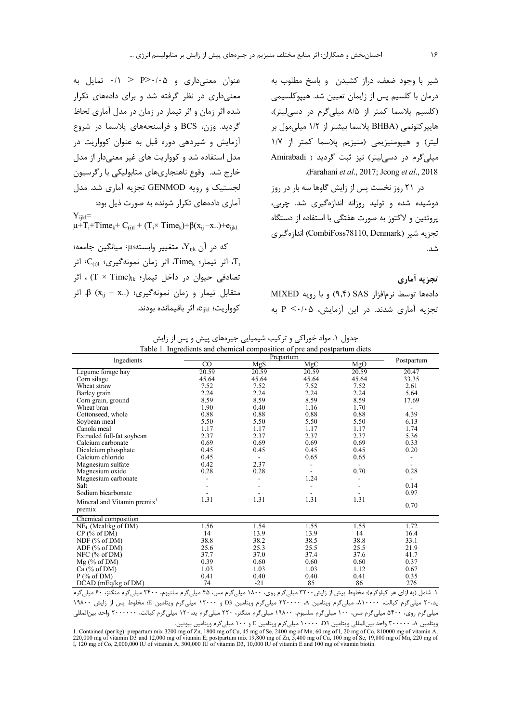عنوان معنیداری و P>۰/۰۵ < ۰/۱ تمایل به

معنیداری در نظر گرفته شد و برای دادههای تکرار

شده اثر زمان و اثر تیمار در زمان در مدل آماری لحاظ

گردید. وزن، BCS و فراسنجههای پلاسما در شروع

آزمایش و شیردهی دوره قبل به عنوان کوواریت در

مدل استفاده شد و کوواریت های غیر معنی دار از مدل

خارج شد. وقوع ناهنجاريهاي متابوليكي با رگرسيون لجستیک و رویه GENMOD تجزیه آماری شد. مدل

 $\mu + T_i + Time_k + C_{(i)} + (T_i \times Time_k) + \beta(x_{ii} - x_{..}) + e_{iikl}$ 

اثر تیمار؛ Time $\rm k$ ، اثر زمان نمونهگیری؛  $\rm C_{(i)l}$ ، اثر Time $\rm k$ تصادفی حیوان در داخل تیمار؛ T × Time)، اثر

متقابل تیمار و زمان نمونهگیری؛ (...χ (x<sub>ij</sub> - x) متقابل تیمار و زمان نمونهگیری؛

كوواريت؛ e<sub>iikl</sub>، اثر باقيمانده بودند.

که در آن Y<sub>ijk</sub>، متغییر وابسته؛μ؛ میانگین جامعه؛

 $Y_{ijkl}$ =

آماری دادههای تکرار شونده به صورت ذیل بود:

شير با وجود ضعف، دراز كشيدن و ياسخ مطلوب به درمان با کلسیم پس از زایمان تعیین شد. هیپوکلسیمی (کلسیم پلاسما کمتر از ۸/۵ میلیگرم در دسی لیتر)، هایپر کتونمی (BHBA پلاسما بیشتر از ۱/۲ میلی مول بر لیتر) و هیپومنیزیمی (منیزیم پلاسما کمتر از ۱/۷ میلی گرم در دسی لیتر) نیز ثبت گردید ( Amirabadi .(Farahani et al., 2017; Jeong et al., 2018

در ۲۱ روز نخست پس از زایش گاوها سه بار در روز دوشیده شده و تولید روزانه اندازهگیری شد. چربی، پروتئین و لاکتوز به صورت هفتگی با استفاده از دستگاه تجزيه شير (CombiFoss78110, Denmark) اندازهگيري شد.

تجزيه آماري دادهها توسط نرمافزار SAS (۹٫۴) وبا رويه MIXED تجزیه آماری شدند. در این آزمایش، P <٠/٠۵ به

|                                         |       |                          | Table 1. Highculents and chemical composition of pre-and-postpartum dicts<br>Prepartum |                          |                          |
|-----------------------------------------|-------|--------------------------|----------------------------------------------------------------------------------------|--------------------------|--------------------------|
| Ingedients                              | CO    | MgS                      | MgC                                                                                    | MgO                      | Postpartum               |
| Legume forage hay                       | 20.59 | 20.59                    | 20.59                                                                                  | 20.59                    | 20.47                    |
| Corn silage                             | 45.64 | 45.64                    | 45.64                                                                                  | 45.64                    | 33.35                    |
| Wheat straw                             | 7.52  | 7.52                     | 7.52                                                                                   | 7.52                     | 2.61                     |
| Barley grain                            | 2.24  | 2.24                     | 2.24                                                                                   | 2.24                     | 5.64                     |
| Corn grain, ground                      | 8.59  | 8.59                     | 8.59                                                                                   | 8.59                     | 17.69                    |
| Wheat bran                              | 1.90  | 0.40                     | 1.16                                                                                   | 1.70                     | $\overline{\phantom{a}}$ |
| Cottonseed, whole                       | 0.88  | 0.88                     | 0.88                                                                                   | 0.88                     | 4.39                     |
| Soybean meal                            | 5.50  | 5.50                     | 5.50                                                                                   | 5.50                     | 6.13                     |
| Canola meal                             | 1.17  | 1.17                     | 1.17                                                                                   | 1.17                     | 1.74                     |
| Extruded full-fat soybean               | 2.37  | 2.37                     | 2.37                                                                                   | 2.37                     | 5.36                     |
| Calcium carbonate                       | 0.69  | 0.69                     | 0.69                                                                                   | 0.69                     | 0.33                     |
| Dicalcium phosphate                     | 0.45  | 0.45                     | 0.45                                                                                   | 0.45                     | 0.20                     |
| Calcium chloride                        | 0.45  | $\overline{\phantom{0}}$ | 0.65                                                                                   | 0.65                     | ٠                        |
| Magnesium sulfate                       | 0.42  | 2.37                     |                                                                                        | $\overline{\phantom{0}}$ |                          |
| Magnesium oxide                         | 0.28  | 0.28                     |                                                                                        | 0.70                     | 0.28                     |
| Magnesium carbonate                     |       |                          | 1.24                                                                                   |                          | $\overline{\phantom{0}}$ |
| Salt                                    |       |                          |                                                                                        |                          | 0.14                     |
| Sodium bicarbonate                      |       |                          |                                                                                        |                          | 0.97                     |
| Mineral and Vitamin premix <sup>1</sup> | 1.31  | 1.31                     | 1.31                                                                                   | 1.31                     |                          |
| premix <sup>1</sup>                     |       |                          |                                                                                        |                          | 0.70                     |
| Chemical composition                    |       |                          |                                                                                        |                          |                          |
| $NEL$ (Mcal/kg of $\overline{DM}$ )     | 1.56  | 1.54                     | 1.55                                                                                   | 1.55                     | 1.72                     |
| $CP$ (% of DM)                          | 14    | 13.9                     | 13.9                                                                                   | 14                       | 16.4                     |
| $NDF$ (% of DM)                         | 38.8  | 38.2                     | 38.5                                                                                   | 38.8                     | 33.1                     |
| ADF $(%$ (% of DM)                      | 25.6  | 25.3                     | 25.5                                                                                   | 25.5                     | 21.9                     |
| NFC $(%$ (% of DM)                      | 37.7  | 37.0                     | 37.4                                                                                   | 37.6                     | 41.7                     |
| $Mg$ (% of DM)                          | 0.39  | 0.60                     | 0.60                                                                                   | 0.60                     | 0.37                     |
| $Ca$ (% of DM)                          | 1.03  | 1.03                     | 1.03                                                                                   | 1.12                     | 0.67                     |
| $P$ (% of DM)                           | 0.41  | 0.40                     | 0.40                                                                                   | 0.41                     | 0.35                     |
| DCAD (mEq/kg of DM)                     | 74    | $-21$                    | 85                                                                                     | 86                       | 276                      |

جدول ۱. مواد خوراکی و ترکیب شیمیایی جیرههای پیش و پس از زایش

۱. شامل (به ازای هر کیلوگرم): مخلوط پیش از زایش۲۲۰۰ میلیگرم روی، ۱۸۰۰ میلیگرم مس، ۴۵ میلیگرم سلنیوم، ۲۴۰۰ میلیگرم منگنز، ۶۰ میلیگرم ید.۲۰ میلیگرم کبالت. ۸۱۰۰۰۰ میلیگرم ویتامین A. ۲۲۰۰۰۰ میلیگرم ویتامین D3 و ۱۲۰۰۰ میلیگرم ویتامین E مخلوط پس از زایش ۱۹۸۰۰ میلیگرم روی، ۵۴۰۰ میلیگرم مس، ۱۰۰ میلیگرم سلنیوم، ۱۹۸۰۰ میلیگرم منگنز، ۲۲۰ میلیگرم ید، ۱۲۰ میلیگرم کبالت، ۲۰۰۰۰۰۰ واحد بینالمللی

ويتامين A، ٣٠٠٠٠٠ واحد بينالمللي ويتامين D3، ١٠٠٠٠ ميلي گرم ويتامين E و ١٠٠ ميلي گرم ويتامين بيوتين.

1. Contained (per kg): prepartum mix 3200 mg of Zn, 1800 mg of Cu, 45 mg of Se, 2400 mg of Mn, 60 mg of I, 20 mg of Co, 810000 mg of vitamin A, 220,000 mg of vitamin D3 and 12,000 mg of vitamin E; postpartum mix 19,800 mg of Zn, 5,400 mg of Cu, 100 mg of Se, 19,800 mg of Mn, 220 mg of I, 120 mg of Co, 2,000,000 IU of vitamin A, 300,000 IU of vitamin D3, 10,000 IU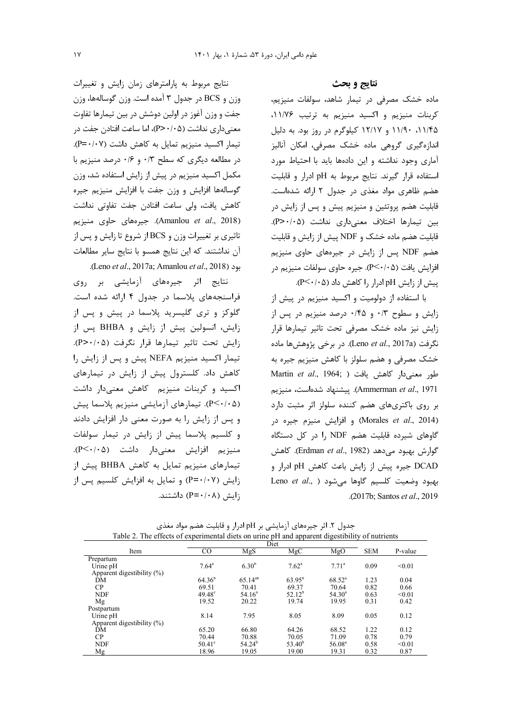نتایج مربوط به پارامترهای زمان زایش و تغییرات وزن و BCS در جدول ۳ آمده است. وزن گوسالهها، وزن جفت و وزن آغوز در اولین دوشش در بین تیمارها تفاوت معنی داری نداشت (P>۰/۰۵)، اما ساعت افتادن جفت در تیمار اکسید منیزیم تمایل به کاهش داشت (P=٠/٠٧). در مطالعه دیگری که سطح ۰/۳ و ۰/۶ درصد منیزیم با مکمل اکسید منیزیم در پیش از زایش استفاده شد، وزن گوسالهها افزایش و وزن جفت با افزایش منیزیم جیره كاهش يافت، ولي ساعت افتادن جفت تفاوتي نداشت (Amanlou et al., 2018). جیرههای حاوی منیزیم تاثیری بر تغییرات وزن و BCS از شروع تا زایش و پس از آن نداشتند. که این نتایج همسو با نتایج سایر مطالعات .(Leno et al., 2017a; Amanlou et al., 2018).

نتایج اثر جیرههای آزمایشی بر روی فراسنجههای پلاسما در جدول ۴ ارائه شده است. گلوکز و تری گلیسرید پلاسما در پیش و پس از زایش، انسولین پیش از زایش و BHBA پس از زايش تحت تاثير تيمارها قرار نگرفت (P>٠/٠۵). تیمار اکسید منیزیم NEFA پیش و پس از زایش را کاهش داد. کلسترول پیش از زایش در تیمارهای اکسید و کربنات منیزیم کاهش معنیدار داشت (P<٠/٠۵). تیمارهای آزمایشی منیزیم پلاسما پیش و پس از زایش را به صورت معنی دار افزایش دادند و کلسیم پلاسما پیش از زایش در تیمار سولفات منيزيم افزايش معنىدار داشت (P<۰/۰۵). تیمارهای منیزیم تمایل به کاهش BHBA پیش از زایش (P=۰/۰۷) و تمایل به افزایش کلسیم پس از زایش (P=۰/۰۸) داشتند.

### نتايج و بحث

ماده خشک مصرفی در تیمار شاهد، سولفات منیزیم، کربنات منیزیم و اکسید منیزیم به ترتیب ۱۱/۷۶، ۱۱/۴۵، ۱۱/۹۰ و ۱۲/۱۷ کیلوگرم در روز بود. به دلیل اندازهگیری گروهی ماده خشک مصرفی، امکان آنالیز آماری وجود نداشته و این دادهها باید با احتیاط مورد استفاده قرار گیرند. نتایج مربوط به pH ادرار و قابلیت هضم ظاهری مواد مغذی در جدول ۲ ارائه شدهاست. قابلیت هضم پروتئین و منیزیم پیش و پس از زایش در بين تيمارها اختلاف معنى دارى نداشت (P>٠/٠۵). قابلیت هضم ماده خشک و NDF پیش از زایش و قابلیت هضم NDF پس از زایش در جیرههای حاوی منیزیم افزايش يافت (P<۰/۰۵). جيره حاوي سولفات منيزيم در پیش از زایش pH ادرار را کاهش داد (P<۰/۰۵).

با استفاده از دولومیت و اکسید منیزیم در پیش از زایش و سطوح ۰/۴ و ۰/۴۵ درصد منیزیم در پس از زايش نيز ماده خشك مصرفى تحت تاثير تيمارها قرار نگرفت (Leno et al., 2017a). در برخی پژوهشها ماده خشک مصرفی و هضم سلولز با کاهش منیزیم جیره به Martin et al., 1964; ) طور معنى دار كاهش يافت Ammerman et al., 1971). پیشنهاد شدهاست، منیزیم بر روی باکتریهای هضم کننده سلولز اثر مثبت دارد (Morales et al., 2014) و افزایش منیزم جیره در گاوهای شیرده قابلیت هضم NDF را در کل دستگاه گوارش بهبود میدهد (Erdman et al., 1982). كاهش DCAD جيره پيش از زايش باعث كاهش pH ادرار و Leno et al., ) ابهبود وضعيت كلسيم گاوها مى شود .(2017b; Santos et al., 2019

|                                                                                                | جدول ۲. اثر جیرههای ازمایشی بر pH ادرار و قابلیت هضم مواد مغذی |  |
|------------------------------------------------------------------------------------------------|----------------------------------------------------------------|--|
| Table 2. The effects of experimental diets on urine pH and apparent digestibility of nutrients |                                                                |  |

|                            |                 | Diet               |                 |                    |            |         |  |
|----------------------------|-----------------|--------------------|-----------------|--------------------|------------|---------|--|
| Item                       | CO              | MgS                | MgC             | MgO                | <b>SEM</b> | P-value |  |
| Prepartum                  |                 |                    |                 |                    |            |         |  |
| Urine pH                   | $7.64^{\circ}$  | 6.30 <sup>b</sup>  | $7.62^{\circ}$  | $7.71^a$           | 0.09       | < 0.01  |  |
| Apparent digestibility (%) |                 |                    |                 |                    |            |         |  |
| DM                         | $64.36^{b}$     | $65.14^{ab}$       | $63.95^{\rm b}$ | $68.52^{\circ}$    | 1.23       | 0.04    |  |
| CP                         | 69.51           | 70.41              | 69.37           | 70.64              | 0.82       | 0.66    |  |
| <b>NDF</b>                 | $49.48^{\circ}$ | 54.16 <sup>a</sup> | $52.12^{b}$     | 54.30 <sup>a</sup> | 0.63       | < 0.01  |  |
| Mg                         | 19.52           | 20.22              | 19.74           | 19.95              | 0.31       | 0.42    |  |
| Postpartum                 |                 |                    |                 |                    |            |         |  |
| Urine pH                   | 8.14            | 7.95               | 8.05            | 8.09               | 0.05       | 0.12    |  |
| Apparent digestibility (%) |                 |                    |                 |                    |            |         |  |
| DM                         | 65.20           | 66.80              | 64.26           | 68.52              | 1.22       | 0.12    |  |
| $\rm CP$                   | 70.44           | 70.88              | 70.05           | 71.09              | 0.78       | 0.79    |  |
| <b>NDF</b>                 | $50.41^\circ$   | $54.24^{b}$        | $53.40^{b}$     | 56.08 <sup>a</sup> | 0.58       | < 0.01  |  |
| Mg                         | 18.96           | 19.05              | 19.00           | 19.31              | 0.32       | 0.87    |  |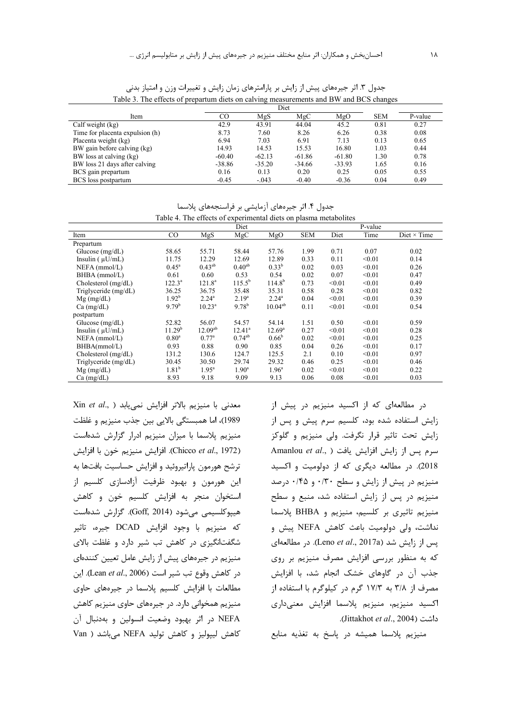| Item                            | CO       | MgS      | MgC      | MgO      | <b>SEM</b> | P-value |
|---------------------------------|----------|----------|----------|----------|------------|---------|
| Calf weight (kg)                | 42.9     | 43.91    | 44.04    | 45.2     | 0.81       | 0.27    |
| Time for placenta expulsion (h) | 8.73     | 7.60     | 8.26     | 6.26     | 0.38       | 0.08    |
| Placenta weight (kg)            | 6.94     | 7.03     | 6.91     | 7.13     | 0.13       | 0.65    |
| BW gain before calving (kg)     | 14.93    | 14.53    | 15.53    | 16.80    | 1.03       | 0.44    |
| BW loss at calving (kg)         | $-60.40$ | $-62.13$ | $-61.86$ | $-61.80$ | 1.30       | 0.78    |
| BW loss 21 days after calving   | $-38.86$ | $-35.20$ | $-34.66$ | $-33.93$ | 1.65       | 0.16    |
| BCS gain prepartum              | 0.16     | 0.13     | 0.20     | 0.25     | 0.05       | 0.55    |
| BCS loss postpartum             | $-0.45$  | $-.043$  | $-0.40$  | $-0.36$  | 0.04       | 0.49    |

جدول ۳. اثر جیرههای پیش از زایش بر پارامترهای زمان زایش و تغییرات وزن و امتیاز بدنی Table 3. The effects of prepartum diets on calving measurements and BW and BCS changes

جدول ۴. اثر جیرەهای آزمایشی بر فراسنجەهای پلاسما

|                       |                    |                    | Diet           |                 |            |        | P-value |                    |
|-----------------------|--------------------|--------------------|----------------|-----------------|------------|--------|---------|--------------------|
| Item                  | CO.                | MgS                | MgC            | MgO             | <b>SEM</b> | Diet   | Time    | Diet $\times$ Time |
| Prepartum             |                    |                    |                |                 |            |        |         |                    |
| Glucose $(mg/dL)$     | 58.65              | 55.71              | 58.44          | 57.76           | 1.99       | 0.71   | 0.07    | 0.02               |
| Insulin $(\mu U/mL)$  | 11.75              | 12.29              | 12.69          | 12.89           | 0.33       | 0.11   | < 0.01  | 0.14               |
| $NEFA$ (mmol/L)       | $0.45^{\circ}$     | $0.43^{ab}$        | $0.40^{ab}$    | $0.33^{b}$      | 0.02       | 0.03   | < 0.01  | 0.26               |
| BHBA (mmol/L)         | 0.61               | 0.60               | 0.53           | 0.54            | 0.02       | 0.07   | < 0.01  | 0.47               |
| Cholesterol (mg/dL)   | $122.3^a$          | $121.8^a$          | $115.5^{b}$    | $114.8^{b}$     | 0.73       | < 0.01 | < 0.01  | 0.49               |
| Triglyceride (mg/dL)  | 36.25              | 36.75              | 35.48          | 35.31           | 0.58       | 0.28   | < 0.01  | 0.82               |
| $Mg$ (mg/dL)          | $1.92^{\rm b}$     | $2.24^{\circ}$     | $2.19^{a}$     | $2.24^{\circ}$  | 0.04       | < 0.01 | < 0.01  | 0.39               |
| Ca (mg/dL)            | 9.79 <sup>b</sup>  | 10.23 <sup>a</sup> | $9.78^{b}$     | $10.04^{ab}$    | 0.11       | < 0.01 | < 0.01  | 0.54               |
| postpartum            |                    |                    |                |                 |            |        |         |                    |
| Glucose $(mg/dL)$     | 52.82              | 56.07              | 54.57          | 54.14           | 1.51       | 0.50   | < 0.01  | 0.59               |
| Insulin $(\mu U/mL)$  | 11.29 <sup>b</sup> | $12.09^{ab}$       | $12.41^a$      | $12.69^{\circ}$ | 0.27       | < 0.01 | < 0.01  | 0.28               |
| NEFA (mmol/L)         | $0.80^{\rm a}$     | $0.77^{\rm a}$     | $0.74^{ab}$    | $0.66^{\rm b}$  | 0.02       | < 0.01 | < 0.01  | 0.25               |
| BHBA(mmol/L)          | 0.93               | 0.88               | 0.90           | 0.85            | 0.04       | 0.26   | < 0.01  | 0.17               |
| Cholesterol $(mg/dL)$ | 131.2              | 130.6              | 124.7          | 125.5           | 2.1        | 0.10   | < 0.01  | 0.97               |
| Triglyceride (mg/dL)  | 30.45              | 30.50              | 29.74          | 29.32           | 0.46       | 0.25   | < 0.01  | 0.46               |
| $Mg$ (mg/dL)          | $1.81^{b}$         | $1.95^{\circ}$     | $1.90^{\circ}$ | $1.96^{\circ}$  | 0.02       | < 0.01 | < 0.01  | 0.22               |
| $Ca$ (mg/dL)          | 8.93               | 9.18               | 9.09           | 9.13            | 0.06       | 0.08   | < 0.01  | 0.03               |

Table 4. The effects of experimental diets on plasma metabolites

Xin et al., ) منيزيم بالاتر افزايش نمى يابد 1989)، اما همبستگی بالایی بین جذب منیزیم و غلظت منیزیم پلاسما با میزان منیزیم ادرار گزارش شدهاست (Chicco *et al.*, 1972). افزايش منيزيم خون با افزايش ترشح هورمون پاراتیروئید و افزایش حساسیت بافتها به این هورمون و بهبود ظرفیت آزادسازی کلسیم از استخوان منجر به افزایش کلسیم خون و کاهش هیپوکلسیمی میشود (Goff, 2014). گزارش شدهاست كه منيزيم با وجود افزايش DCAD جيره، تاثير شگفتانگیزی در کاهش تب شیر دارد و غلظت بالای منیزیم در جیرههای پیش از زایش عامل تعیین کنندهای در كاهش وقوع تب شير است (Lean et al., 2006). اين مطالعات با افزایش کلسیم پلاسما در جیرههای حاوی منیزیم همخوانی دارد. در جیرههای حاوی منیزیم کاهش NEFA در اثر بهبود وضعيت انسولين و بهدنبال آن كاهش ليپوليز و كاهش توليد NEFA مىباشد ( Van

در مطالعهای که از اکسید منیزیم در پیش از زایش استفاده شده بود، کلسیم سرم پیش و پس از زايش تحت تاثير قرار نگرفت. ولي منيزيم و گلوكز Amanlou et al., ) سرم پس از زایش افزایش یافت 2018). در مطالعه دیگری که از دولومیت و اکسید منیزیم در پیش از زایش و سطح ۰/۳۰ و ۰/۴۵ درصد منیزیم در پس از زایش استفاده شد، منبع و سطح منيزيم تاثيري بر كلسيم، منيزيم و BHBA يلاسما نداشت، ولي دولوميت باعث كاهش NEFA پيش و بس از زايش شد (Leno et al., 2017a). در مطالعهاي که به منظور بررسی افزایش مصرف منیزیم بر روی جذب آن در گاوهای خشک انجام شد، با افزایش مصرف از ۳/۸ به ۱۷/۳ گرم در کیلوگرم با استفاده از اكسيد منيزيم، منيزيم پلاسما افزايش معنىدارى .( Jittakhot *et al*., 2004) @

منيزيم يلاسما هميشه در ياسخ به تغذيه منابع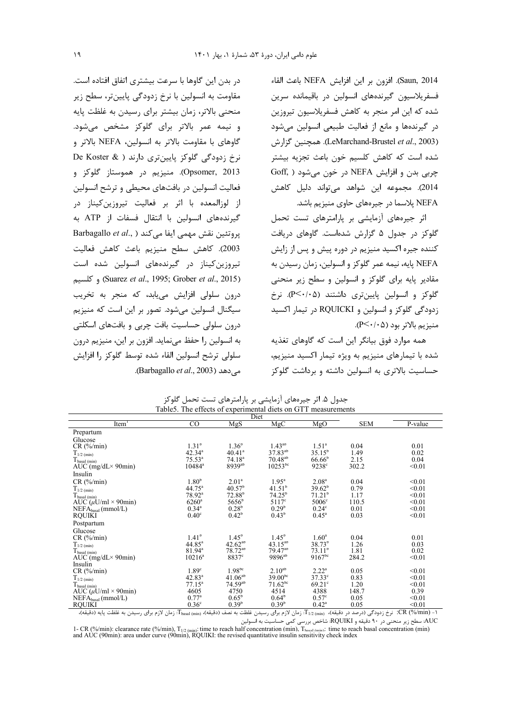Saun, 2014). افزون بر اين افزايش NEFA باعث القاء فسفريلاسيون گيرندههاي انسولين در باقيمانده سرين شده که این امر منجر به کاهش فسفرپلاسیون تیروزین در گیرندهها و مانع از فعالیت طبیعی انسولین می شود (LeMarchand-Brustel et al., 2003). همچنین گزارش شده است که کاهش کلسیم خون باعث تجزیه بیشتر چربي بدن و افزايش NEFA در خون مي شود ( Goff, ۔<br>2014). مجموعه این شواهد مے تواند دلیل کاهش NEFA پلاسما در جیرههای حاوی منیزیم باشد.

اثر جیرههای آزمایشی بر پارامترهای تست تحمل گلوکز در جدول ۵ گزارش شدهاست. گاوهای دریافت کننده جیره اکسید منیزیم در دوره پیش و پس از زایش NEFA پايه، نيمه عمر گلوكز و انسولين، زمان رسيدن به مقادیر پایه برای گلوکز و انسولین و سطح زیر منحنی گلوکز و انسولین پایینتری داشتند (P≤٠/٠۵). نرخ زدودگی گلوکز و انسولین و RQUICKI در تیمار اکسید  $P<\cdot/\cdot$ ۵) منيزيم بالاتر بود

همه موارد فوق بیانگر این است که گاوهای تغذیه شده با تیمارهای منیزیم به ویژه تیمار اکسید منیزیم، حساسیت بالاتری به انسولین داشته و برداشت گلوکز

Diet Item  $_{\rm CO}$ Mg<sup>s</sup>  $Mg$  $MgO$ **SEM** P-value Prepartum Glucose<br>CR (%/min)  $1.43^{ab}$  $1.31^{b}$  $1.36^{b}$  $1.51^a$ 0.04 0.01  $37.83^{ab}$  $40.41$ <sup>a</sup>  $42.34^{a}$  $35.15^{b}$ 1.49  $0.02$  $T_{1/2 \text{ (min)}}$  $70.48^{ab}$  $T_{\text{basal (min)}}$   $\text{AUC (mg/dL}\times 90 \text{min})$  $75.53^{a}$  $74.18^{a}$  $66.66^{\circ}$  $2.15$  $0.04$ 8939<sup>at</sup>  $10253^{6}$  $10484^{\circ}$ 9238 302.2  $< 0.01$ Insulin  $CR$  (%/min)  $1.80<sup>b</sup>$  $2.01<sup>a</sup>$  $1.95^{\circ}$  $2.08<sup>a</sup>$ 0.04  $< 0.01$  $41.51^b$ <br>74.25<sup>b</sup>  $40.57$  $39.62^b$ <br>71.21<sup>b</sup>  $44.75^{\circ}$ <br>78.92<sup>ª</sup> 0.79  $< 0.01$  $T_{1/2 \text{ (min)}}$  $72.88^{b}$  $T_{\text{basal (min)}}$ <br>AUC ( $\mu$ U/ml × 90min) 1.17  $< 0.01$  $5656^{\circ}$  $5117^{\circ}$  $6260^{\circ}$  $5006^{\circ}$  $110.5$  $\leq 0.01$ NEFAbasal (mmol/L)  $0.28^{b}$  $0.29^{b}$  $0.34^{a}$  $0.24^\circ$  $< 0.01$  $0.01$  $0.42^{\circ}$  $0.43^{\circ}$ **RQUIKI**  $0.40^{\circ}$  $0.45^{\circ}$  $0.03$  $< 0.01$ Postpartum Glucose  $1.45^b$ <br>42.62<sup>ab</sup>  $1.45^b$ <br>43.15<sup>ab</sup><br>79.47<sup>ab</sup>  $\frac{1.60^a}{38.73^b}$ <br>73.11<sup>b</sup>  $CR$  (%/min)  $1.41<sup>b</sup>$ 0.04  $0.01$  $44.85^{\circ}$  $1.26$  $0.03$  $T_{1/2 \text{ (min)}}$  $78.72^{ab}$  $\overset{\text{1}{\mu}_{\text{basal (min)}}}{\text{AUC (mg/dL}\times 90\text{min})}$  $81.94^{\circ}$ 1.81  $0.02$  $8837^{\circ}$  $9167^{bc}$  $10216^a$ 9896<sup>ab</sup> 284.2  $< 0.01$  $CR$  (%/min)  $1.89<sup>c</sup>$  $1.98<sup>bc</sup>$  $2.10^{ab}$  $2.22^{\circ}$  $0.05$  $< 0.01$  $41.06^{ab}$  $39.00^{bc}$  $42.83^a$  $37.33^{\circ}$ 0.83  $< 0.01$  $T_{1/2 \text{ (min)}}$  $^{41.00}_{74.59}$ <sup>ab</sup><br>4750  $71.62^{bc}$  $69.21^{\circ}$  $T_{\text{basal (min)}}$ <br>AUC ( $\mu$ U/ml × 90min)  $77.15^a$ <br>4605  $\frac{1.20}{148.7}$  $^{<0.01}_{0.39}$  $4514$ 4388  $NEFA<sub>basal</sub>$ (mmol/L)  $0.77$  $0.64^b$  $0.57$  $0.05$  $0.65^{\circ}$  $< 0.01$  $0.39^{b}$ **RQUIKI**  $0.36<sup>c</sup>$  $0.39^{b}$  $0.42$ <sup>a</sup>  $0.05$  $< 0.01$ 

جدول ۵. اثر جیرەهای آزمایشی بر پارامترهای تست تحمل گلوکز Table5. The effects of experimental diets on GTT measurements

CR (%/min): نرخ زدودگی (درصد در دقیقه)، دارای ازام برای رسیدن غلظت به نصف (دقیقه)، (T<sub>bssal (min</sub>، زمان لازم برای رسیدن به غلظت پایه (دقیقه)، AUC: سطح زیر منحنی در ۹۰ دقیقه و RQUIKI: شاخص بررسی کمی حساسیت به انسولین

1- CR (%/min): clearance rate (%/min),  $T_{1/2 \text{ (min)}}$ : time to reach half concentration (min). T<sub>hesel</sub> (min): time to reach and AUC (90min): area under curve (90min), RQUIKI: the revised quantitative insulin sensitivity c

در بدن این گاوها با سرعت بیشتری اتفاق افتاده است.

مقاومت به انسولین با نرخ زدودگی پایینتر، سطح زیر منحنی بالاتر، زمان بیشتر برای رسیدن به غلظت پایه

و نیمه عمر بالاتر برای گلوکز مشخص می شود.

گاوهای با مقاومت بالاتر به انسولین، NEFA بالاتر و

نرخ زدودگی گلوکز پایینتری دارند ( De Koster &

Opsomer, 2013). منيزيم در هموستاز گلوكز و

فعالیت انسولین در بافتهای محیطی و ترشح انسولین

از لوزالمعده با اثر بر فعالیت تیروزین کیناز در گیرندههای انسولین با انتقال فسفات از ATP به

Rarbagallo et al., ) يروتئين نقش مهمي ايفا مي كند 2003). كاهش سطح منيزيم باعث كاهش فعاليت

تیروزین کیناز در گیرندههای انسولین شده است

(Suarez et al., 1995; Grober et al., 2015) و كلسيم

درون سلولی افزایش می یابد، که منجر به تخریب سیگنال انسولین می شود. تصور بر این است که منیزیم

درون سلولی حساسیت بافت چربی و بافتهای اسکلتی به انسولین را حفظ می نماید. افزون بر این، منیزیم درون

سلولي ترشح انسولين القاء شده توسط گلوكز را افزايش

مے دھد (Barbagallo et al., 2003).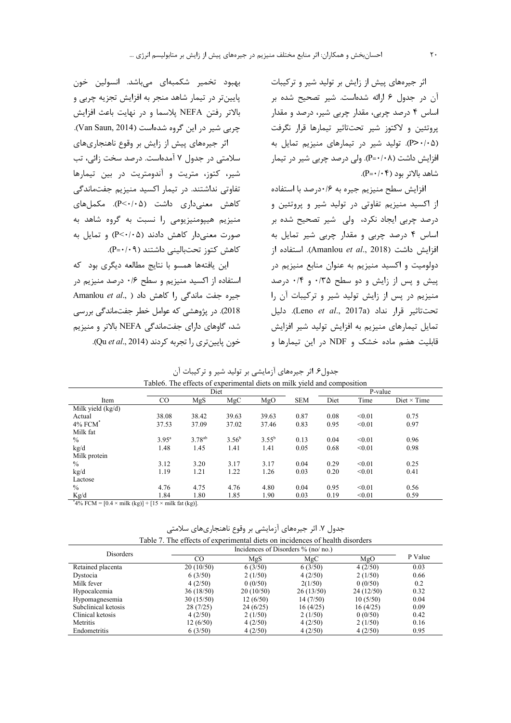اثر جیرههای پیش از زایش بر تولید شیر و ترکیبات آن در جدول ۶ ارائه شدهاست. شیر تصحیح شده بر اساس ۴ درصد چربی، مقدار چربی شیر، درصد و مقدار يروتئين والاكتوز شير تحت تاثير تيمارها قرار نگرفت (P>٠/٠۵). تولید شیر در تیمارهای منیزیم تمایل به افزایش داشت (P=٠/٠٨). ولی درصد چربی شیر در تیمار شاهد بالاتر بود (P=٠/٠۴).

افزایش سطح منیزیم جیره به ۰/۶درصد با استفاده از اکسید منیزیم تفاوتی در تولید شیر و پروتئین و درصد چربی ایجاد نکرد، ولی شیر تصحیح شده بر اساس ۴ درصد چربی و مقدار چربی شیر تمایل به افزايش داشت (Amanlou et al., 2018). استفاده از دولومیت و اکسید منیزیم به عنوان منابع منیزیم در پیش و پس از زایش و دو سطح ۰/۳۵ و ۰/۴ درصد منیزیم در پس از زایش تولید شیر و ترکیبات آن را تحت تاثير قرار نداد (Leno et al., 2017a). دليل تمایل تیمارهای منیزیم به افزایش تولید شیر افزایش قابلیت هضم ماده خشک و NDF در این تیمارها و

بهبود تخمیر شکمبهای میباشد. انسولین خون پایینتر در تیمار شاهد منجر به افزایش تجزیه چربی و بالاتر رفتن NEFA پلاسما و در نهایت باعث افزایش چربی شیر در این گروه شدهاست (Van Saun, 2014). اثر جیرههای پیش از زایش بر وقوع ناهنجاریهای

سلامتی در جدول ۷ آمدهاست. درصد سخت زائی، تب شیر، کتوز، متریت و آندومتریت در بین تیمارها تفاوتی نداشتند. در تیمار اکسید منیزیم جفتماندگی کاهش معنی داری داشت (P<۰/۰۵). مکمل های منیزیم هیپومنیزیومی را نسبت به گروه شاهد به صورت معنى دار كاهش دادند (P<٠/٠۵) و تمايل به كاهش كتوز تحتباليني داشتند (٩ ٠/٠=P).

این یافتهها همسو با نتایج مطالعه دیگری بود که استفاده از اکسید منیزیم و سطح ۰/۶ درصد منیزیم در Amanlou et al., ) جیره جفت ماندگی را کاهش داد 2018). در پژوهشی که عوامل خطر جفتماندگی بررسی شد، گاوهای دارای جفتماندگی NEFA بالاتر و منیزیم خون پايينتري را تجربه كردند (Qu et al., 2014).

|                     | Diet           |             |            |            |            | P-value |        |                    |
|---------------------|----------------|-------------|------------|------------|------------|---------|--------|--------------------|
| Item                | $\rm CO$       | MgS         | MgC        | MgO        | <b>SEM</b> | Diet    | Time   | Diet $\times$ Time |
| Milk yield $(kg/d)$ |                |             |            |            |            |         |        |                    |
| Actual              | 38.08          | 38.42       | 39.63      | 39.63      | 0.87       | 0.08    | < 0.01 | 0.75               |
| 4% FCM <sup>*</sup> | 37.53          | 37.09       | 37.02      | 37.46      | 0.83       | 0.95    | < 0.01 | 0.97               |
| Milk fat            |                |             |            |            |            |         |        |                    |
| $\%$                | $3.95^{\rm a}$ | $3.78^{ab}$ | $3.56^{b}$ | $3.55^{b}$ | 0.13       | 0.04    | < 0.01 | 0.96               |
| kg/d                | 1.48           | 1.45        | 1.41       | 1.41       | 0.05       | 0.68    | < 0.01 | 0.98               |
| Milk protein        |                |             |            |            |            |         |        |                    |
| $\frac{0}{0}$       | 3.12           | 3.20        | 3.17       | 3.17       | 0.04       | 0.29    | < 0.01 | 0.25               |
| kg/d                | 1.19           | 1.21        | 1.22       | 1.26       | 0.03       | 0.20    | < 0.01 | 0.41               |
| Lactose             |                |             |            |            |            |         |        |                    |
| $\%$                | 4.76           | 4.75        | 4.76       | 4.80       | 0.04       | 0.95    | < 0.01 | 0.56               |
| Kg/d                | 1.84           | 1.80        | 1.85       | 1.90       | 0.03       | 0.19    | < 0.01 | 0.59               |

جدول۶. اثر جیرههای آزمایشی بر تولید شیر و ترکیبات آن Table6. The effects of experimental diets on milk vield and composition

\*4% FCM =  $[0.4 \times \text{milk (kg)}] + [15 \times \text{milk fat (kg)}].$ 

جدول ۷. اثر جیرههای آزمایشی بر وقوع ناهنجاریهای سلامتی<br>مصدر ۲۰۰۵ - ۲۰۰۱  $2.01 - 141 - 11 - 14$ 

|                     | lable 7. The effects of experimental diets on incidences of health disorders |                                     |           |            |         |  |  |  |  |  |
|---------------------|------------------------------------------------------------------------------|-------------------------------------|-----------|------------|---------|--|--|--|--|--|
| <b>Disorders</b>    |                                                                              | Incidences of Disorders % (no/ no.) |           |            |         |  |  |  |  |  |
|                     | <sub>CO</sub>                                                                | MgS<br>MgC                          |           | MgO        | P Value |  |  |  |  |  |
| Retained placenta   | 20(10/50)                                                                    | 6(3/50)                             | 6(3/50)   | 4(2/50)    | 0.03    |  |  |  |  |  |
| Dystocia            | 6(3/50)                                                                      | 2(1/50)                             | 4(2/50)   | 2(1/50)    | 0.66    |  |  |  |  |  |
| Milk fever          | 4(2/50)                                                                      | 0(0/50)                             | 2(1/50)   | 0(0/50)    | 0.2     |  |  |  |  |  |
| Hypocalcemia        | 36(18/50)                                                                    | 20(10/50)                           | 26(13/50) | 24 (12/50) | 0.32    |  |  |  |  |  |
| Hypomagnesemia      | 30(15/50)                                                                    | 12(6/50)                            | 14(7/50)  | 10(5/50)   | 0.04    |  |  |  |  |  |
| Subclinical ketosis | 28(7/25)                                                                     | 24(6/25)                            | 16(4/25)  | 16(4/25)   | 0.09    |  |  |  |  |  |
| Clinical ketosis    | 4(2/50)                                                                      | 2(1/50)                             | 2(1/50)   | 0(0/50)    | 0.42    |  |  |  |  |  |
| Metritis            | 12(6/50)                                                                     | 4(2/50)                             | 4(2/50)   | 2(1/50)    | 0.16    |  |  |  |  |  |
| Endometritis        | 6(3/50)                                                                      | 4(2/50)                             | 4(2/50)   | 4(2/50)    | 0.95    |  |  |  |  |  |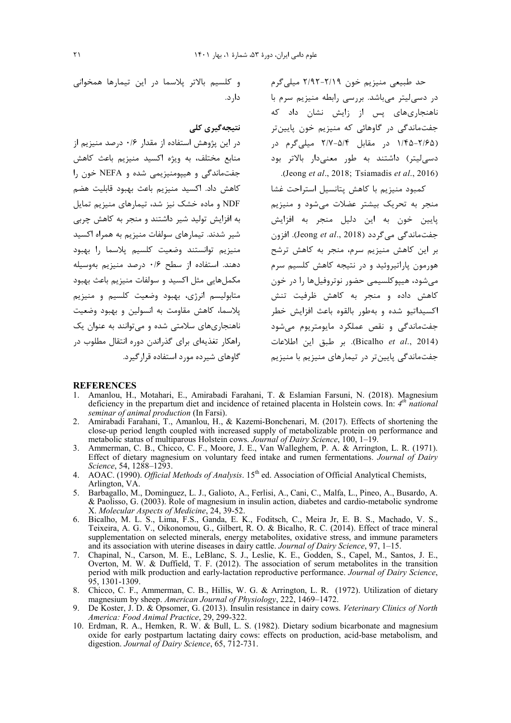و کلسیم بالاتر پلاسما در این تیمارها همخوانی دار د.

# نتىجەگىرى كلى

در این پژوهش استفاده از مقدار ۰/۶ درصد منیزیم از منابع مختلف، به ویژه اکسید منیزیم باعث کاهش جفتماندگی و هیپومنیزیمی شده و NEFA خون را كاهش داد. اكسيد منيزيم باعث بهبود قابليت هضم NDF و ماده خشک نیز شد، تیمارهای منیزیم تمایل به افزایش تولید شیر داشتند و منجر به کاهش چربی شیر شدند. تیمارهای سولفات منیزیم به همراه اکسید منيزيم توانستند وضعيت كلسيم يلاسما را بهبود دهند. استفاده از سطح ۰/۶ درصد منیزیم بهوسیله مكملهايي مثل اكسيد و سولفات منيزيم باعث بهبود متابولیسم انرژی، بهبود وضعیت کلسیم و منیزیم پلاسما، كاهش مقاومت به انسولين و بهبود وضعيت ناهنجاري هاي سلامتي شده و مي توانند به عنوان يک راهکار تغذیهای برای گذراندن دوره انتقال مطلوب در گاوهای شیرده مورد استفاده قرارگیرد.

حد طبیعی منیزیم خون ۲/۱۹-۲/۹۲ میلی گرم در دسی لیتر میباشد. بررسی رابطه منیزیم سرم با .<br>ناهنجاریهای پس از زایش نشان داد که ۔<br>جفتماندگے در گاوھائے که منیزیم خون پاپین *ت*ر (۲/۶۵–۱/۴۵ در مقابل ۵/۴–۲/۷ میلی گرم در دسی لیتر) داشتند به طور معنیدار بالاتر بود .(Jeong et al., 2018; Tsiamadis et al., 2016)

كمبود منيزيم با كاهش يتانسيل استراحت غشا منجر به تحریک بیشتر عضلات می شود و منیزیم پایین خون به این دلیل منجر به افزایش جفتماندگی می گردد (Jeong et al., 2018). افزون بر این کاهش منیزیم سرم، منجر به کاهش ترشح هورمون پاراتیروئید و در نتیجه کاهش کلسیم سرم می شود، هیپوکلسیمی حضور نوتروفیلها را در خون کاهش داده و منجر به کاهش ظرفیت تنش اکسیداتیو شده و بهطور بالقوه باعث افزایش خطر جفت ماندگی و نقص عملکرد مایومتریوم می شود (Bicalho et al., 2014). بر طبق این اطلاعات جفتماندگی پایینتر در تیمارهای منیزیم با منیزیم

#### **REFERENCES**

- 1. Amanlou, H., Motahari, E., Amirabadi Farahani, T. & Eslamian Farsuni, N. (2018). Magnesium deficiency in the prepartum diet and incidence of retained placenta in Holstein cows. In:  $4<sup>th</sup>$  national seminar of animal production (In Farsi).
- 2. Amirabadi Farahani, T., Amanlou, H., & Kazemi-Bonchenari, M. (2017). Effects of shortening the close-up period length coupled with increased supply of metabolizable protein on performance and metabolic status of multiparous Holstein cows. Journal of Dairy Science, 100, 1-19.
- 3. Ammerman, C. B., Chicco, C. F., Moore, J. E., Van Walleghem, P. A. & Arrington, L. R. (1971).<br>Effect of dietary magnesium on voluntary feed intake and rumen fermentations. Journal of Dairy Science, 54, 1288-1293.
- 4. AOAC. (1990). Official Methods of Analysis.  $15^{th}$  ed. Association of Official Analytical Chemists, Arlington, VA.
- 5. Barbagallo, M., Dominguez, L. J., Galioto, A., Ferlisi, A., Cani, C., Malfa, L., Pineo, A., Busardo, A. & Paolisso, G. (2003). Role of magnesium in insulin action, diabetes and cardio-metabolic syndrome X. Molecular Aspects of Medicine, 24, 39-52.
- 6. Bicalho, M. L. S., Lima, F.S., Ganda, E. K., Foditsch, C., Meira Jr, E. B. S., Machado, V. S., Teixeira, A. G. V., Oikonomou, G., Gilbert, R. O. & Bicalho, R. C. (2014). Effect of trace mineral supplementation on selected minerals, energy metabolites, oxidative stress, and immune parameters and its association with uterine diseases in dairy cattle. Journal of Dairy Science, 97, 1-15.
- 7. Chapinal, N., Carson, M. E., LeBlanc, S. J., Leslie, K. E., Godden, S., Capel, M., Santos, J. E., Overton, M. W. & Duffield, T. F. (2012). The association of serum metabolites in the transition period with milk production and early-lactation reproductive performance. Journal of Dairy Science, 95, 1301-1309.
- 8. Chicco, C. F., Ammerman, C. B., Hillis, W. G. & Arrington, L. R. (1972). Utilization of dietary magnesium by sheep. American Journal of Physiology, 222, 1469–1472.
- $\mathbf{Q}$ De Koster, J. D. & Opsomer, G. (2013). Insulin resistance in dairy cows. Veterinary Clinics of North America: Food Animal Practice, 29, 299-322.
- 10. Erdman, R. A., Hemken, R. W. & Bull, L. S. (1982). Dietary sodium bicarbonate and magnesium oxide for early postpartum lactating dairy cows: effects on production, acid-base metabolism, and digestion. Journal of Dairy Science, 65, 712-731.